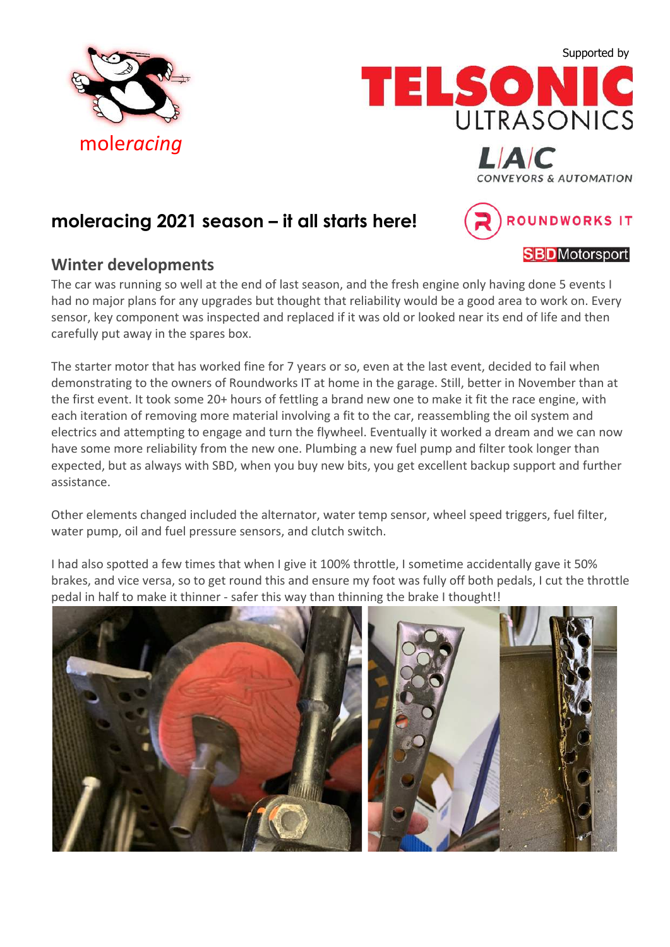





**moleracing 2021 season – it all starts here!**

### **Winter developments**

The car was running so well at the end of last season, and the fresh engine only having done 5 events I had no major plans for any upgrades but thought that reliability would be a good area to work on. Every sensor, key component was inspected and replaced if it was old or looked near its end of life and then carefully put away in the spares box.

The starter motor that has worked fine for 7 years or so, even at the last event, decided to fail when demonstrating to the owners of Roundworks IT at home in the garage. Still, better in November than at the first event. It took some 20+ hours of fettling a brand new one to make it fit the race engine, with each iteration of removing more material involving a fit to the car, reassembling the oil system and electrics and attempting to engage and turn the flywheel. Eventually it worked a dream and we can now have some more reliability from the new one. Plumbing a new fuel pump and filter took longer than expected, but as always with SBD, when you buy new bits, you get excellent backup support and further assistance.

Other elements changed included the alternator, water temp sensor, wheel speed triggers, fuel filter, water pump, oil and fuel pressure sensors, and clutch switch.

I had also spotted a few times that when I give it 100% throttle, I sometime accidentally gave it 50% brakes, and vice versa, so to get round this and ensure my foot was fully off both pedals, I cut the throttle pedal in half to make it thinner - safer this way than thinning the brake I thought!!



**SBD**Motorsport

ROUNDWORKS IT

**CONVEYORS & AUTOMATION**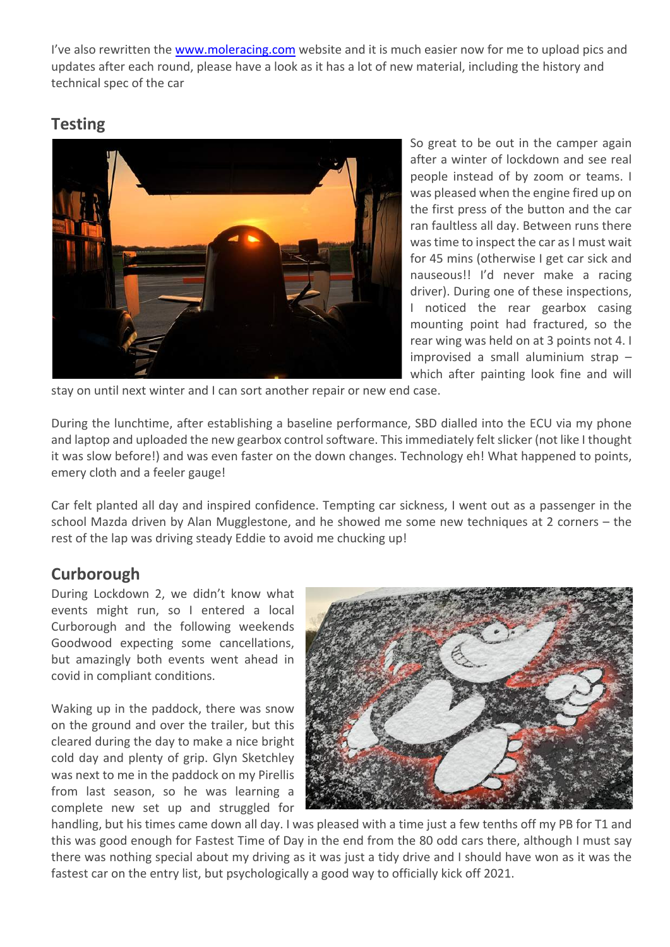I've also rewritten the www.moleracing.com website and it is much easier now for me to upload pics and updates after each round, please have a look as it has a lot of new material, including the history and technical spec of the car

## **Testing**



So great to be out in the camper again after a winter of lockdown and see real people instead of by zoom or teams. I was pleased when the engine fired up on the first press of the button and the car ran faultless all day. Between runs there was time to inspect the car as I must wait for 45 mins (otherwise I get car sick and nauseous!! I'd never make a racing driver). During one of these inspections, I noticed the rear gearbox casing mounting point had fractured, so the rear wing was held on at 3 points not 4. I improvised a small aluminium strap – which after painting look fine and will

stay on until next winter and I can sort another repair or new end case.

During the lunchtime, after establishing a baseline performance, SBD dialled into the ECU via my phone and laptop and uploaded the new gearbox control software. This immediately felt slicker (not like I thought it was slow before!) and was even faster on the down changes. Technology eh! What happened to points, emery cloth and a feeler gauge!

Car felt planted all day and inspired confidence. Tempting car sickness, I went out as a passenger in the school Mazda driven by Alan Mugglestone, and he showed me some new techniques at 2 corners – the rest of the lap was driving steady Eddie to avoid me chucking up!

## **Curborough**

During Lockdown 2, we didn't know what events might run, so I entered a local Curborough and the following weekends Goodwood expecting some cancellations, but amazingly both events went ahead in covid in compliant conditions.

Waking up in the paddock, there was snow on the ground and over the trailer, but this cleared during the day to make a nice bright cold day and plenty of grip. Glyn Sketchley was next to me in the paddock on my Pirellis from last season, so he was learning a complete new set up and struggled for



handling, but his times came down all day. I was pleased with a time just a few tenths off my PB for T1 and this was good enough for Fastest Time of Day in the end from the 80 odd cars there, although I must say there was nothing special about my driving as it was just a tidy drive and I should have won as it was the fastest car on the entry list, but psychologically a good way to officially kick off 2021.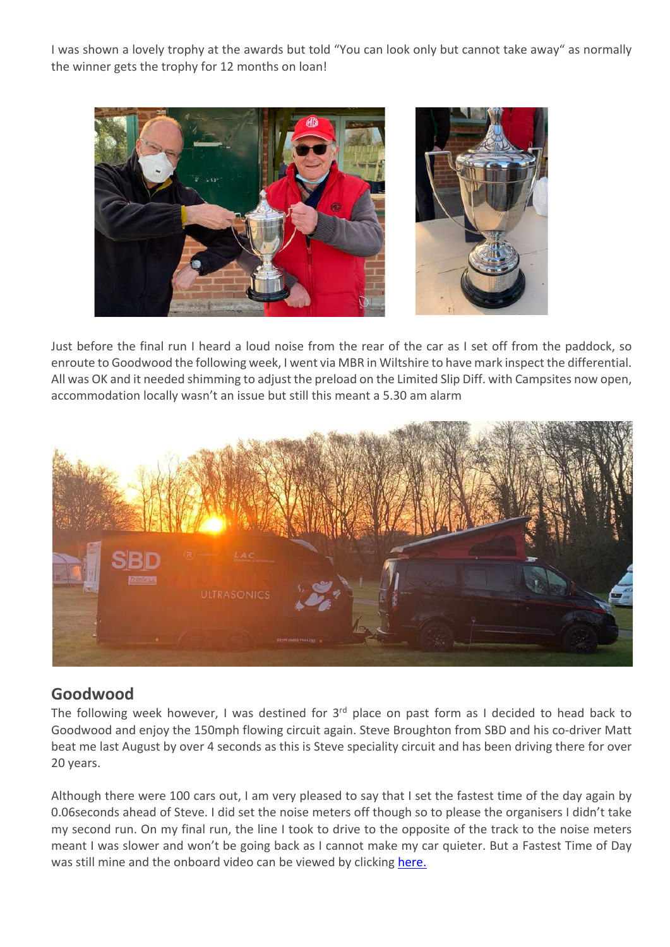I was shown a lovely trophy at the awards but told "You can look only but cannot take away" as normally the winner gets the trophy for 12 months on loan!



Just before the final run I heard a loud noise from the rear of the car as I set off from the paddock, so enroute to Goodwood the following week, I went via MBR in Wiltshire to have mark inspect the differential. All was OK and it needed shimming to adjust the preload on the Limited Slip Diff. with Campsites now open, accommodation locally wasn't an issue but still this meant a 5.30 am alarm



## **Goodwood**

The following week however, I was destined for 3<sup>rd</sup> place on past form as I decided to head back to Goodwood and enjoy the 150mph flowing circuit again. Steve Broughton from SBD and his co-driver Matt beat me last August by over 4 seconds as this is Steve speciality circuit and has been driving there for over 20 years.

Although there were 100 cars out, I am very pleased to say that I set the fastest time of the day again by 0.06seconds ahead of Steve. I did set the noise meters off though so to please the organisers I didn't take my second run. On my final run, the line I took to drive to the opposite of the track to the noise meters meant I was slower and won't be going back as I cannot make my car quieter. But a Fastest Time of Day was still mine and the onboard video can be viewed by clicking here.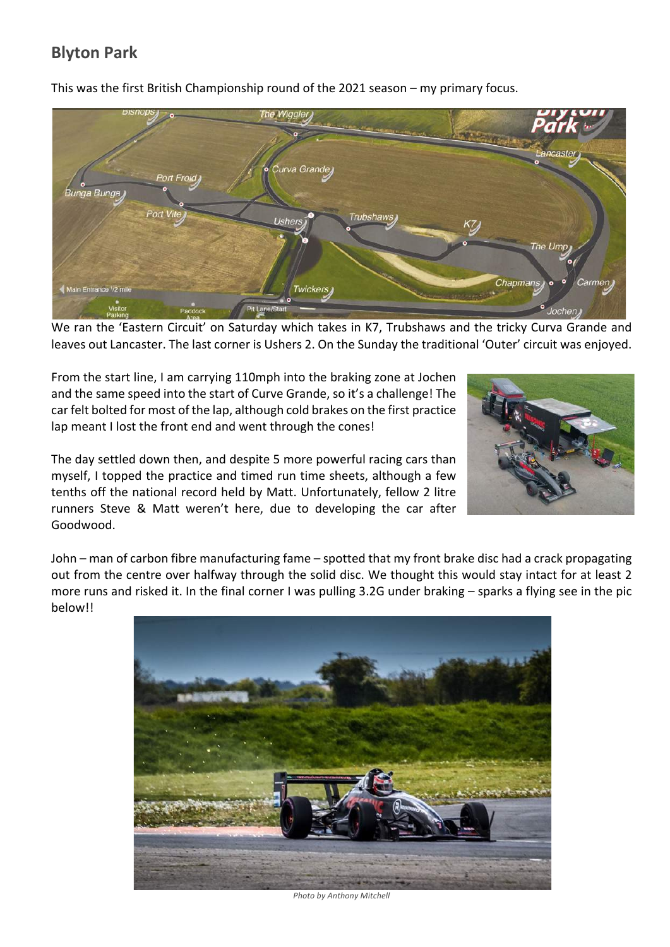# **Blyton Park**



This was the first British Championship round of the 2021 season – my primary focus.

We ran the 'Eastern Circuit' on Saturday which takes in K7, Trubshaws and the tricky Curva Grande and leaves out Lancaster. The last corner is Ushers 2. On the Sunday the traditional 'Outer' circuit was enjoyed.

From the start line, I am carrying 110mph into the braking zone at Jochen and the same speed into the start of Curve Grande, so it's a challenge! The car felt bolted for most of the lap, although cold brakes on the first practice lap meant I lost the front end and went through the cones!

The day settled down then, and despite 5 more powerful racing cars than myself, I topped the practice and timed run time sheets, although a few tenths off the national record held by Matt. Unfortunately, fellow 2 litre runners Steve & Matt weren't here, due to developing the car after Goodwood.



John – man of carbon fibre manufacturing fame – spotted that my front brake disc had a crack propagating out from the centre over halfway through the solid disc. We thought this would stay intact for at least 2 more runs and risked it. In the final corner I was pulling 3.2G under braking – sparks a flying see in the pic below!!



*Photo by Anthony Mitchell*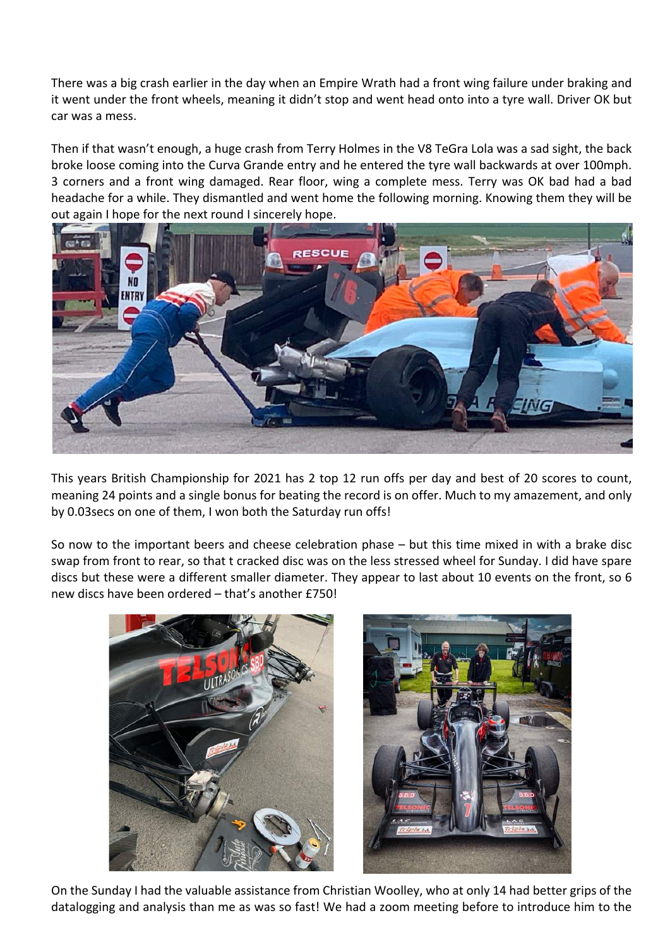There was a big crash earlier in the day when an Empire Wrath had a front wing failure under braking and it went under the front wheels, meaning it didn't stop and went head onto into a tyre wall. Driver OK but car was a mess.

Then if that wasn't enough, a huge crash from Terry Holmes in the V8 TeGra Lola was a sad sight, the back broke loose coming into the Curva Grande entry and he entered the tyre wall backwards at over 100mph. 3 corners and a front wing damaged. Rear floor, wing a complete mess. Terry was OK bad had a bad headache for a while. They dismantled and went home the following morning. Knowing them they will be out again I hope for the next round I sincerely hope.



This years British Championship for 2021 has 2 top 12 run offs per day and best of 20 scores to count, meaning 24 points and a single bonus for beating the record is on offer. Much to my amazement, and only by 0.03secs on one of them, I won both the Saturday run offs!

So now to the important beers and cheese celebration phase – but this time mixed in with a brake disc swap from front to rear, so that t cracked disc was on the less stressed wheel for Sunday. I did have spare discs but these were a different smaller diameter. They appear to last about 10 events on the front, so 6 new discs have been ordered – that's another £750!



On the Sunday I had the valuable assistance from Christian Woolley, who at only 14 had better grips of the datalogging and analysis than me as was so fast! We had a zoom meeting before to introduce him to the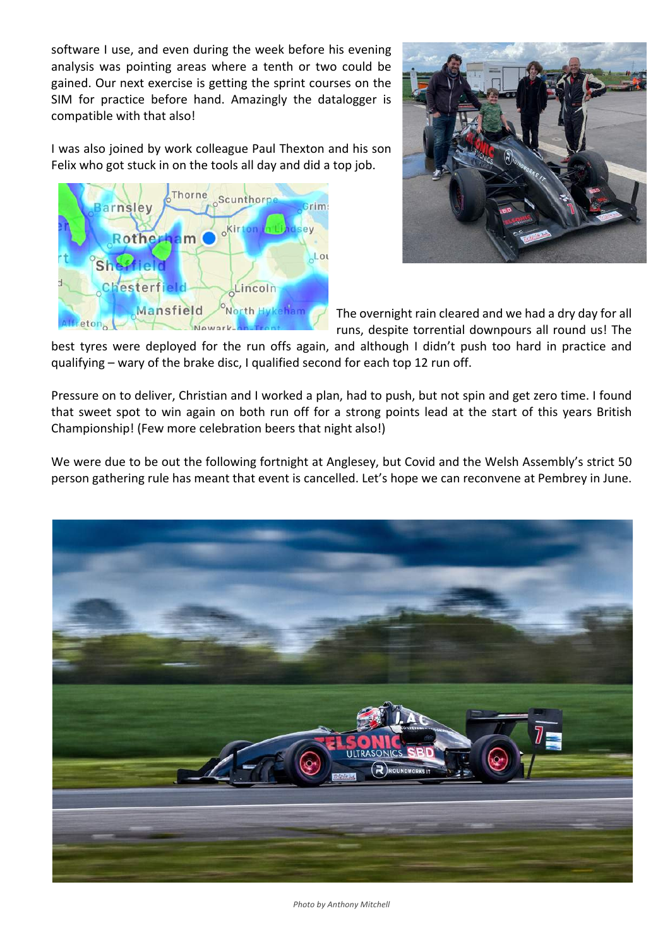software I use, and even during the week before his evening analysis was pointing areas where a tenth or two could be gained. Our next exercise is getting the sprint courses on the SIM for practice before hand. Amazingly the datalogger is compatible with that also!

I was also joined by work colleague Paul Thexton and his son Felix who got stuck in on the tools all day and did a top job.





The overnight rain cleared and we had a dry day for all runs, despite torrential downpours all round us! The

best tyres were deployed for the run offs again, and although I didn't push too hard in practice and qualifying – wary of the brake disc, I qualified second for each top 12 run off.

Pressure on to deliver, Christian and I worked a plan, had to push, but not spin and get zero time. I found that sweet spot to win again on both run off for a strong points lead at the start of this years British Championship! (Few more celebration beers that night also!)

We were due to be out the following fortnight at Anglesey, but Covid and the Welsh Assembly's strict 50 person gathering rule has meant that event is cancelled. Let's hope we can reconvene at Pembrey in June.